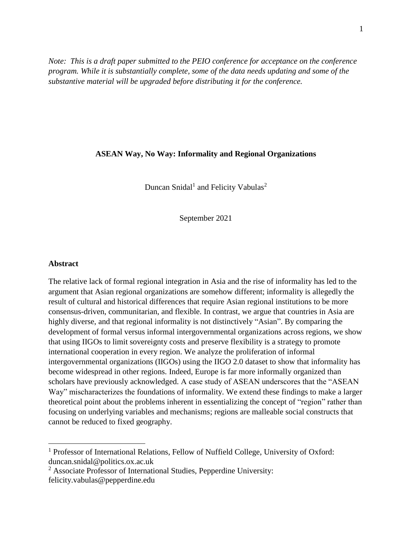*Note: This is a draft paper submitted to the PEIO conference for acceptance on the conference program. While it is substantially complete, some of the data needs updating and some of the substantive material will be upgraded before distributing it for the conference.*

## **ASEAN Way, No Way: Informality and Regional Organizations**

Duncan Snidal<sup>1</sup> and Felicity Vabulas<sup>2</sup>

September 2021

### **Abstract**

 $\overline{a}$ 

The relative lack of formal regional integration in Asia and the rise of informality has led to the argument that Asian regional organizations are somehow different; informality is allegedly the result of cultural and historical differences that require Asian regional institutions to be more consensus-driven, communitarian, and flexible. In contrast, we argue that countries in Asia are highly diverse, and that regional informality is not distinctively "Asian". By comparing the development of formal versus informal intergovernmental organizations across regions, we show that using IIGOs to limit sovereignty costs and preserve flexibility is a strategy to promote international cooperation in every region. We analyze the proliferation of informal intergovernmental organizations (IIGOs) using the IIGO 2.0 dataset to show that informality has become widespread in other regions. Indeed, Europe is far more informally organized than scholars have previously acknowledged. A case study of ASEAN underscores that the "ASEAN Way" mischaracterizes the foundations of informality. We extend these findings to make a larger theoretical point about the problems inherent in essentializing the concept of "region" rather than focusing on underlying variables and mechanisms; regions are malleable social constructs that cannot be reduced to fixed geography.

<sup>&</sup>lt;sup>1</sup> Professor of International Relations, Fellow of Nuffield College, University of Oxford: duncan.snidal@politics.ox.ac.uk

<sup>2</sup> Associate Professor of International Studies, Pepperdine University: felicity.vabulas@pepperdine.edu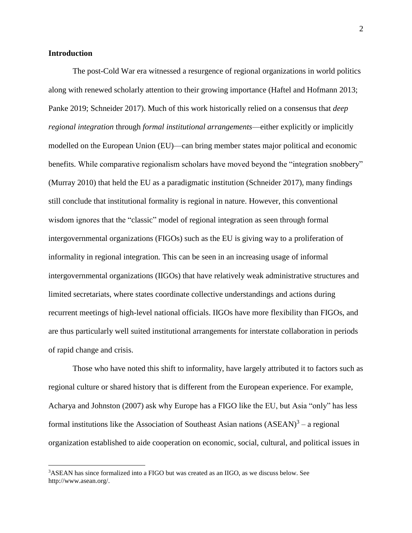## **Introduction**

 $\overline{a}$ 

The post-Cold War era witnessed a resurgence of regional organizations in world politics along with renewed scholarly attention to their growing importance (Haftel and Hofmann 2013; Panke 2019; Schneider 2017). Much of this work historically relied on a consensus that *deep regional integration* through *formal institutional arrangements*—either explicitly or implicitly modelled on the European Union (EU)—can bring member states major political and economic benefits. While comparative regionalism scholars have moved beyond the "integration snobbery" (Murray 2010) that held the EU as a paradigmatic institution (Schneider 2017), many findings still conclude that institutional formality is regional in nature. However, this conventional wisdom ignores that the "classic" model of regional integration as seen through formal intergovernmental organizations (FIGOs) such as the EU is giving way to a proliferation of informality in regional integration*.* This can be seen in an increasing usage of informal intergovernmental organizations (IIGOs) that have relatively weak administrative structures and limited secretariats, where states coordinate collective understandings and actions during recurrent meetings of high-level national officials. IIGOs have more flexibility than FIGOs, and are thus particularly well suited institutional arrangements for interstate collaboration in periods of rapid change and crisis.

Those who have noted this shift to informality, have largely attributed it to factors such as regional culture or shared history that is different from the European experience. For example, Acharya and Johnston (2007) ask why Europe has a FIGO like the EU, but Asia "only" has less formal institutions like the Association of Southeast Asian nations  $(ASEAN)^3$  – a regional organization established to aide cooperation on economic, social, cultural, and political issues in

<sup>3</sup>ASEAN has since formalized into a FIGO but was created as an IIGO, as we discuss below. See http://www.asean.org/.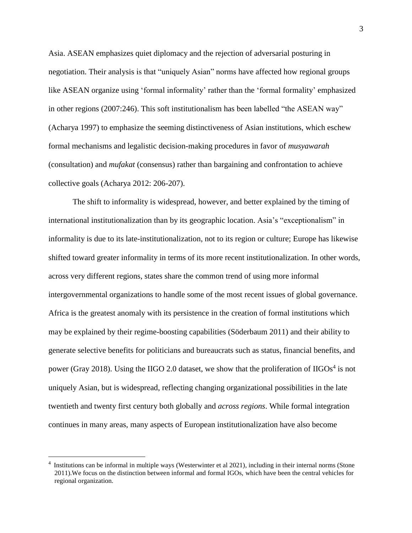Asia. ASEAN emphasizes quiet diplomacy and the rejection of adversarial posturing in negotiation. Their analysis is that "uniquely Asian" norms have affected how regional groups like ASEAN organize using 'formal informality' rather than the 'formal formality' emphasized in other regions (2007:246). This soft institutionalism has been labelled "the ASEAN way" (Acharya 1997) to emphasize the seeming distinctiveness of Asian institutions, which eschew formal mechanisms and legalistic decision-making procedures in favor of *musyawarah* (consultation) and *mufakat* (consensus) rather than bargaining and confrontation to achieve collective goals (Acharya 2012: 206-207).

The shift to informality is widespread, however, and better explained by the timing of international institutionalization than by its geographic location. Asia's "exceptionalism" in informality is due to its late-institutionalization, not to its region or culture; Europe has likewise shifted toward greater informality in terms of its more recent institutionalization. In other words, across very different regions, states share the common trend of using more informal intergovernmental organizations to handle some of the most recent issues of global governance. Africa is the greatest anomaly with its persistence in the creation of formal institutions which may be explained by their regime-boosting capabilities (Söderbaum 2011) and their ability to generate selective benefits for politicians and bureaucrats such as status, financial benefits, and power (Gray 2018). Using the IIGO 2.0 dataset, we show that the proliferation of IIGOs<sup>4</sup> is not uniquely Asian, but is widespread, reflecting changing organizational possibilities in the late twentieth and twenty first century both globally and *across regions*. While formal integration continues in many areas, many aspects of European institutionalization have also become

<sup>&</sup>lt;sup>4</sup> Institutions can be informal in multiple ways (Westerwinter et al 2021), including in their internal norms (Stone 2011).We focus on the distinction between informal and formal IGOs, which have been the central vehicles for regional organization.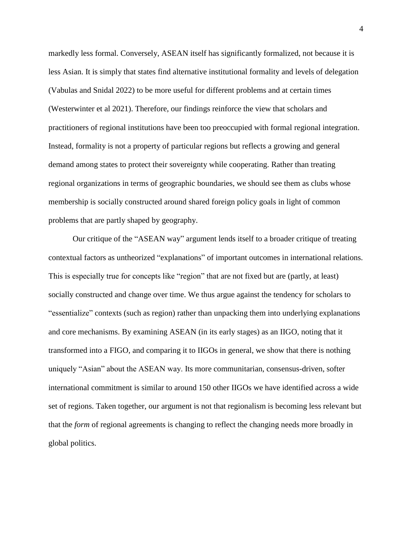markedly less formal. Conversely, ASEAN itself has significantly formalized, not because it is less Asian. It is simply that states find alternative institutional formality and levels of delegation (Vabulas and Snidal 2022) to be more useful for different problems and at certain times (Westerwinter et al 2021). Therefore, our findings reinforce the view that scholars and practitioners of regional institutions have been too preoccupied with formal regional integration. Instead, formality is not a property of particular regions but reflects a growing and general demand among states to protect their sovereignty while cooperating. Rather than treating regional organizations in terms of geographic boundaries, we should see them as clubs whose membership is socially constructed around shared foreign policy goals in light of common problems that are partly shaped by geography.

Our critique of the "ASEAN way" argument lends itself to a broader critique of treating contextual factors as untheorized "explanations" of important outcomes in international relations. This is especially true for concepts like "region" that are not fixed but are (partly, at least) socially constructed and change over time. We thus argue against the tendency for scholars to "essentialize" contexts (such as region) rather than unpacking them into underlying explanations and core mechanisms. By examining ASEAN (in its early stages) as an IIGO, noting that it transformed into a FIGO, and comparing it to IIGOs in general, we show that there is nothing uniquely "Asian" about the ASEAN way. Its more communitarian, consensus-driven, softer international commitment is similar to around 150 other IIGOs we have identified across a wide set of regions. Taken together, our argument is not that regionalism is becoming less relevant but that the *form* of regional agreements is changing to reflect the changing needs more broadly in global politics.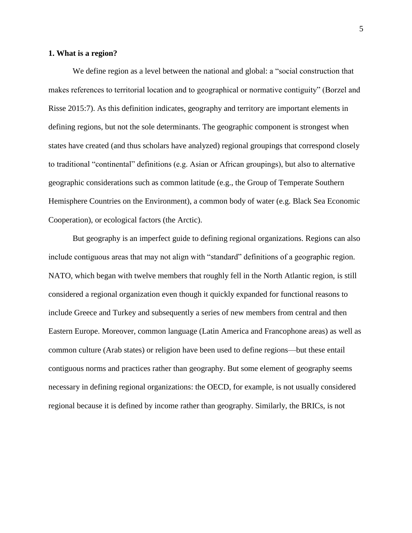## **1. What is a region?**

We define region as a level between the national and global: a "social construction that makes references to territorial location and to geographical or normative contiguity" (Borzel and Risse 2015:7). As this definition indicates, geography and territory are important elements in defining regions, but not the sole determinants. The geographic component is strongest when states have created (and thus scholars have analyzed) regional groupings that correspond closely to traditional "continental" definitions (e.g. Asian or African groupings), but also to alternative geographic considerations such as common latitude (e.g., the Group of Temperate Southern Hemisphere Countries on the Environment), a common body of water (e.g. Black Sea Economic Cooperation), or ecological factors (the Arctic).

But geography is an imperfect guide to defining regional organizations. Regions can also include contiguous areas that may not align with "standard" definitions of a geographic region. NATO, which began with twelve members that roughly fell in the North Atlantic region, is still considered a regional organization even though it quickly expanded for functional reasons to include Greece and Turkey and subsequently a series of new members from central and then Eastern Europe. Moreover, common language (Latin America and Francophone areas) as well as common culture (Arab states) or religion have been used to define regions—but these entail contiguous norms and practices rather than geography. But some element of geography seems necessary in defining regional organizations: the OECD, for example, is not usually considered regional because it is defined by income rather than geography. Similarly, the BRICs, is not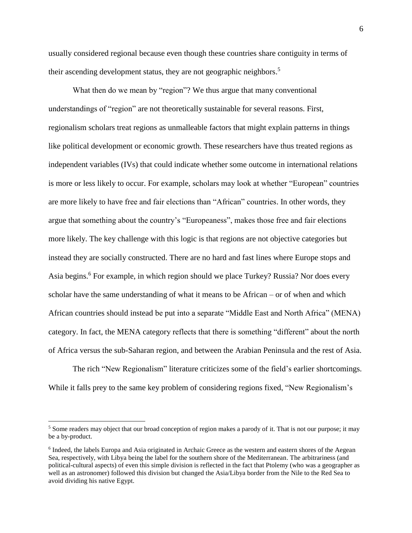usually considered regional because even though these countries share contiguity in terms of their ascending development status, they are not geographic neighbors.<sup>5</sup>

What then do we mean by "region"? We thus argue that many conventional understandings of "region" are not theoretically sustainable for several reasons. First, regionalism scholars treat regions as unmalleable factors that might explain patterns in things like political development or economic growth. These researchers have thus treated regions as independent variables (IVs) that could indicate whether some outcome in international relations is more or less likely to occur. For example, scholars may look at whether "European" countries are more likely to have free and fair elections than "African" countries. In other words, they argue that something about the country's "Europeaness", makes those free and fair elections more likely. The key challenge with this logic is that regions are not objective categories but instead they are socially constructed. There are no hard and fast lines where Europe stops and Asia begins.<sup>6</sup> For example, in which region should we place Turkey? Russia? Nor does every scholar have the same understanding of what it means to be African – or of when and which African countries should instead be put into a separate "Middle East and North Africa" (MENA) category. In fact, the MENA category reflects that there is something "different" about the north of Africa versus the sub-Saharan region, and between the Arabian Peninsula and the rest of Asia.

The rich "New Regionalism" literature criticizes some of the field's earlier shortcomings. While it falls prey to the same key problem of considering regions fixed, "New Regionalism's

<sup>&</sup>lt;sup>5</sup> Some readers may object that our broad conception of region makes a parody of it. That is not our purpose; it may be a by-product.

<sup>&</sup>lt;sup>6</sup> Indeed, the labels Europa and Asia originated in Archaic Greece as the western and eastern shores of the Aegean Sea, respectively, with Libya being the label for the southern shore of the Mediterranean. The arbitrariness (and political-cultural aspects) of even this simple division is reflected in the fact that Ptolemy (who was a geographer as well as an astronomer) followed this division but changed the Asia/Libya border from the Nile to the Red Sea to avoid dividing his native Egypt.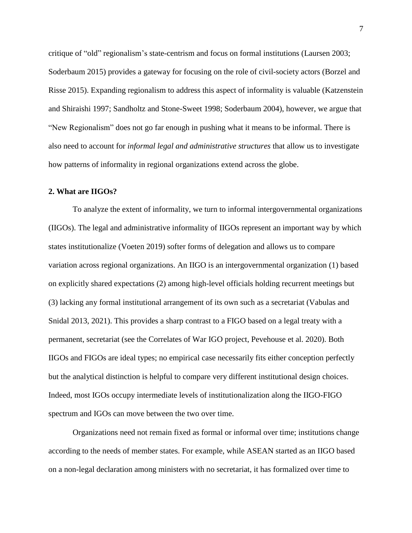critique of "old" regionalism's state-centrism and focus on formal institutions (Laursen 2003; Soderbaum 2015) provides a gateway for focusing on the role of civil-society actors (Borzel and Risse 2015). Expanding regionalism to address this aspect of informality is valuable (Katzenstein and Shiraishi 1997; Sandholtz and Stone-Sweet 1998; Soderbaum 2004), however, we argue that "New Regionalism" does not go far enough in pushing what it means to be informal. There is also need to account for *informal legal and administrative structures* that allow us to investigate how patterns of informality in regional organizations extend across the globe.

#### **2. What are IIGOs?**

To analyze the extent of informality, we turn to informal intergovernmental organizations (IIGOs). The legal and administrative informality of IIGOs represent an important way by which states institutionalize (Voeten 2019) softer forms of delegation and allows us to compare variation across regional organizations. An IIGO is an intergovernmental organization (1) based on explicitly shared expectations (2) among high-level officials holding recurrent meetings but (3) lacking any formal institutional arrangement of its own such as a secretariat (Vabulas and Snidal 2013, 2021). This provides a sharp contrast to a FIGO based on a legal treaty with a permanent, secretariat (see the Correlates of War IGO project, Pevehouse et al. 2020). Both IIGOs and FIGOs are ideal types; no empirical case necessarily fits either conception perfectly but the analytical distinction is helpful to compare very different institutional design choices. Indeed, most IGOs occupy intermediate levels of institutionalization along the IIGO-FIGO spectrum and IGOs can move between the two over time.

Organizations need not remain fixed as formal or informal over time; institutions change according to the needs of member states. For example, while ASEAN started as an IIGO based on a non-legal declaration among ministers with no secretariat, it has formalized over time to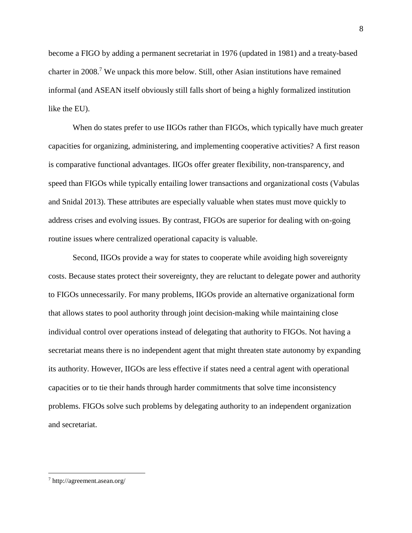become a FIGO by adding a permanent secretariat in 1976 (updated in 1981) and a treaty-based charter in 2008. <sup>7</sup> We unpack this more below. Still, other Asian institutions have remained informal (and ASEAN itself obviously still falls short of being a highly formalized institution like the EU).

When do states prefer to use IIGOs rather than FIGOs, which typically have much greater capacities for organizing, administering, and implementing cooperative activities? A first reason is comparative functional advantages. IIGOs offer greater flexibility, non-transparency, and speed than FIGOs while typically entailing lower transactions and organizational costs (Vabulas and Snidal 2013). These attributes are especially valuable when states must move quickly to address crises and evolving issues. By contrast, FIGOs are superior for dealing with on-going routine issues where centralized operational capacity is valuable.

Second, IIGOs provide a way for states to cooperate while avoiding high sovereignty costs. Because states protect their sovereignty, they are reluctant to delegate power and authority to FIGOs unnecessarily. For many problems, IIGOs provide an alternative organizational form that allows states to pool authority through joint decision-making while maintaining close individual control over operations instead of delegating that authority to FIGOs. Not having a secretariat means there is no independent agent that might threaten state autonomy by expanding its authority. However, IIGOs are less effective if states need a central agent with operational capacities or to tie their hands through harder commitments that solve time inconsistency problems. FIGOs solve such problems by delegating authority to an independent organization and secretariat.

<sup>7</sup> http://agreement.asean.org/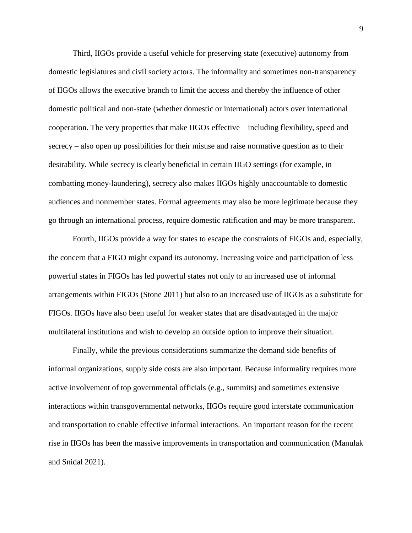Third, IIGOs provide a useful vehicle for preserving state (executive) autonomy from domestic legislatures and civil society actors. The informality and sometimes non-transparency of IIGOs allows the executive branch to limit the access and thereby the influence of other domestic political and non-state (whether domestic or international) actors over international cooperation. The very properties that make IIGOs effective – including flexibility, speed and secrecy – also open up possibilities for their misuse and raise normative question as to their desirability. While secrecy is clearly beneficial in certain IIGO settings (for example, in combatting money-laundering), secrecy also makes IIGOs highly unaccountable to domestic audiences and nonmember states. Formal agreements may also be more legitimate because they go through an international process, require domestic ratification and may be more transparent.

Fourth, IIGOs provide a way for states to escape the constraints of FIGOs and, especially, the concern that a FIGO might expand its autonomy. Increasing voice and participation of less powerful states in FIGOs has led powerful states not only to an increased use of informal arrangements within FIGOs (Stone 2011) but also to an increased use of IIGOs as a substitute for FIGOs. IIGOs have also been useful for weaker states that are disadvantaged in the major multilateral institutions and wish to develop an outside option to improve their situation.

Finally, while the previous considerations summarize the demand side benefits of informal organizations, supply side costs are also important. Because informality requires more active involvement of top governmental officials (e.g., summits) and sometimes extensive interactions within transgovernmental networks, IIGOs require good interstate communication and transportation to enable effective informal interactions. An important reason for the recent rise in IIGOs has been the massive improvements in transportation and communication (Manulak and Snidal 2021).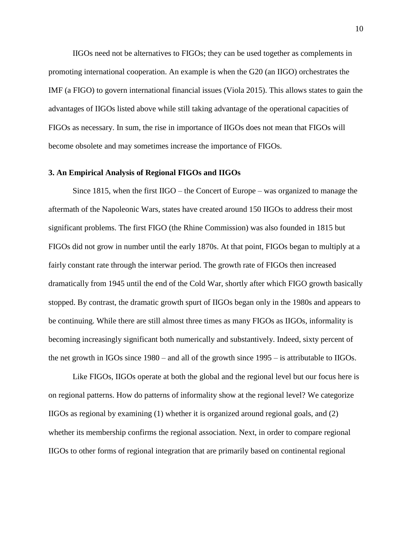IIGOs need not be alternatives to FIGOs; they can be used together as complements in promoting international cooperation. An example is when the G20 (an IIGO) orchestrates the IMF (a FIGO) to govern international financial issues (Viola 2015). This allows states to gain the advantages of IIGOs listed above while still taking advantage of the operational capacities of FIGOs as necessary. In sum, the rise in importance of IIGOs does not mean that FIGOs will become obsolete and may sometimes increase the importance of FIGOs.

#### **3. An Empirical Analysis of Regional FIGOs and IIGOs**

Since 1815, when the first IIGO – the Concert of Europe – was organized to manage the aftermath of the Napoleonic Wars, states have created around 150 IIGOs to address their most significant problems. The first FIGO (the Rhine Commission) was also founded in 1815 but FIGOs did not grow in number until the early 1870s. At that point, FIGOs began to multiply at a fairly constant rate through the interwar period. The growth rate of FIGOs then increased dramatically from 1945 until the end of the Cold War, shortly after which FIGO growth basically stopped. By contrast, the dramatic growth spurt of IIGOs began only in the 1980s and appears to be continuing. While there are still almost three times as many FIGOs as IIGOs, informality is becoming increasingly significant both numerically and substantively. Indeed, sixty percent of the net growth in IGOs since 1980 – and all of the growth since 1995 – is attributable to IIGOs.

Like FIGOs, IIGOs operate at both the global and the regional level but our focus here is on regional patterns. How do patterns of informality show at the regional level? We categorize IIGOs as regional by examining (1) whether it is organized around regional goals, and (2) whether its membership confirms the regional association. Next, in order to compare regional IIGOs to other forms of regional integration that are primarily based on continental regional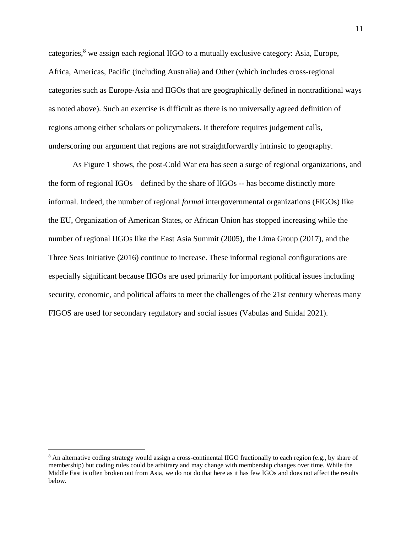categories, $8 \text{ we assign each regional IIGO to a mutually exclusive category: Asia, Europe,$ Africa, Americas, Pacific (including Australia) and Other (which includes cross-regional categories such as Europe-Asia and IIGOs that are geographically defined in nontraditional ways as noted above). Such an exercise is difficult as there is no universally agreed definition of regions among either scholars or policymakers. It therefore requires judgement calls, underscoring our argument that regions are not straightforwardly intrinsic to geography.

As Figure 1 shows, the post-Cold War era has seen a surge of regional organizations, and the form of regional IGOs – defined by the share of IIGOs -- has become distinctly more informal. Indeed, the number of regional *formal* intergovernmental organizations (FIGOs) like the EU, Organization of American States, or African Union has stopped increasing while the number of regional IIGOs like the East Asia Summit (2005), the Lima Group (2017), and the Three Seas Initiative (2016) continue to increase. These informal regional configurations are especially significant because IIGOs are used primarily for important political issues including security, economic, and political affairs to meet the challenges of the 21st century whereas many FIGOS are used for secondary regulatory and social issues (Vabulas and Snidal 2021).

<sup>8</sup> An alternative coding strategy would assign a cross-continental IIGO fractionally to each region (e.g., by share of membership) but coding rules could be arbitrary and may change with membership changes over time. While the Middle East is often broken out from Asia, we do not do that here as it has few IGOs and does not affect the results below.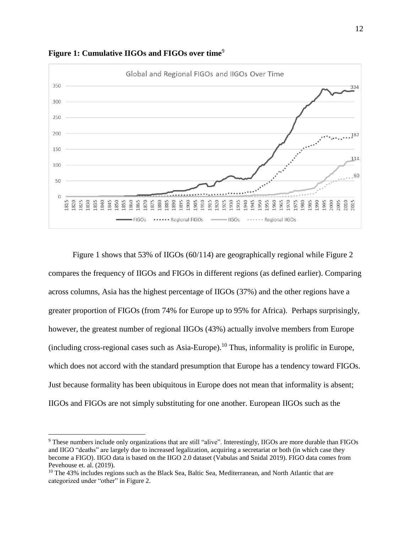

**Figure 1: Cumulative IIGOs and FIGOs over time**<sup>9</sup>

Figure 1 shows that 53% of IIGOs (60/114) are geographically regional while Figure 2 compares the frequency of IIGOs and FIGOs in different regions (as defined earlier). Comparing across columns, Asia has the highest percentage of IIGOs (37%) and the other regions have a greater proportion of FIGOs (from 74% for Europe up to 95% for Africa). Perhaps surprisingly, however, the greatest number of regional IIGOs (43%) actually involve members from Europe (including cross-regional cases such as Asia-Europe).<sup>10</sup> Thus, informality is prolific in Europe, which does not accord with the standard presumption that Europe has a tendency toward FIGOs. Just because formality has been ubiquitous in Europe does not mean that informality is absent; IIGOs and FIGOs are not simply substituting for one another. European IIGOs such as the

<sup>9</sup> These numbers include only organizations that are still "alive". Interestingly, IIGOs are more durable than FIGOs and IIGO "deaths" are largely due to increased legalization, acquiring a secretariat or both (in which case they become a FIGO). IIGO data is based on the IIGO 2.0 dataset (Vabulas and Snidal 2019). FIGO data comes from Pevehouse et. al. (2019).

<sup>&</sup>lt;sup>10</sup> The 43% includes regions such as the Black Sea, Baltic Sea, Mediterranean, and North Atlantic that are categorized under "other" in Figure 2.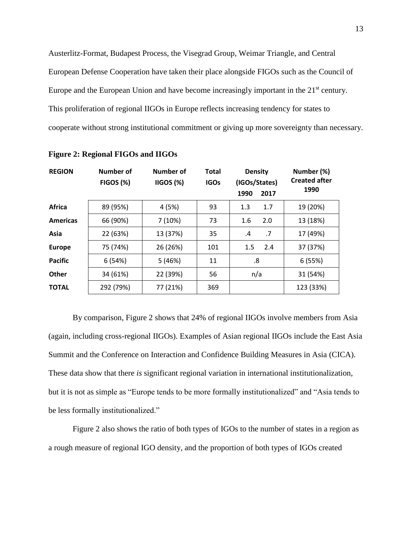Austerlitz-Format, Budapest Process, the Visegrad Group, Weimar Triangle, and Central European Defense Cooperation have taken their place alongside FIGOs such as the Council of Europe and the European Union and have become increasingly important in the 21<sup>st</sup> century. This proliferation of regional IIGOs in Europe reflects increasing tendency for states to cooperate without strong institutional commitment or giving up more sovereignty than necessary.

| <b>REGION</b>   | Number of<br><b>FIGOS (%)</b> | Number of<br>IIGOS (%) | <b>Total</b><br><b>IGOs</b> | <b>Density</b><br>(IGOs/States)<br>1990<br>2017 | Number (%)<br><b>Created after</b><br>1990 |  |
|-----------------|-------------------------------|------------------------|-----------------------------|-------------------------------------------------|--------------------------------------------|--|
| Africa          | 89 (95%)                      | 4(5%)                  | 93                          | 1.3<br>1.7                                      | 19 (20%)                                   |  |
| <b>Americas</b> | 66 (90%)                      | 7(10%)                 | 73                          | 2.0<br>1.6                                      | 13 (18%)                                   |  |
| Asia            | 22 (63%)                      | 13 (37%)               | 35                          | .7<br>$\cdot$                                   | 17 (49%)                                   |  |
| <b>Europe</b>   | 75 (74%)                      | 26 (26%)               | 101                         | 1.5<br>2.4                                      | 37 (37%)                                   |  |
| <b>Pacific</b>  | 6(54%)                        | 5(46%)                 | 11                          | .8                                              | 6(55%)                                     |  |
| <b>Other</b>    | 34 (61%)                      | 22 (39%)               | 56                          | n/a                                             | 31 (54%)                                   |  |
| <b>TOTAL</b>    | 292 (79%)                     | 77 (21%)               | 369                         |                                                 | 123 (33%)                                  |  |

**Figure 2: Regional FIGOs and IIGOs**

By comparison, Figure 2 shows that 24% of regional IIGOs involve members from Asia (again, including cross-regional IIGOs). Examples of Asian regional IIGOs include the East Asia Summit and the Conference on Interaction and Confidence Building Measures in Asia (CICA). These data show that there *is* significant regional variation in international institutionalization, but it is not as simple as "Europe tends to be more formally institutionalized" and "Asia tends to be less formally institutionalized."

Figure 2 also shows the ratio of both types of IGOs to the number of states in a region as a rough measure of regional IGO density, and the proportion of both types of IGOs created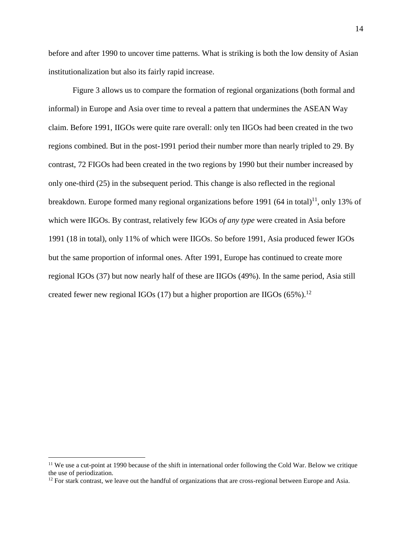before and after 1990 to uncover time patterns. What is striking is both the low density of Asian institutionalization but also its fairly rapid increase.

Figure 3 allows us to compare the formation of regional organizations (both formal and informal) in Europe and Asia over time to reveal a pattern that undermines the ASEAN Way claim. Before 1991, IIGOs were quite rare overall: only ten IIGOs had been created in the two regions combined. But in the post-1991 period their number more than nearly tripled to 29. By contrast, 72 FIGOs had been created in the two regions by 1990 but their number increased by only one-third (25) in the subsequent period. This change is also reflected in the regional breakdown. Europe formed many regional organizations before 1991 (64 in total)<sup>11</sup>, only 13% of which were IIGOs. By contrast, relatively few IGOs *of any type* were created in Asia before 1991 (18 in total), only 11% of which were IIGOs. So before 1991, Asia produced fewer IGOs but the same proportion of informal ones. After 1991, Europe has continued to create more regional IGOs (37) but now nearly half of these are IIGOs (49%). In the same period, Asia still created fewer new regional IGOs (17) but a higher proportion are IIGOs (65%).<sup>12</sup>

<sup>&</sup>lt;sup>11</sup> We use a cut-point at 1990 because of the shift in international order following the Cold War. Below we critique the use of periodization.

 $12$  For stark contrast, we leave out the handful of organizations that are cross-regional between Europe and Asia.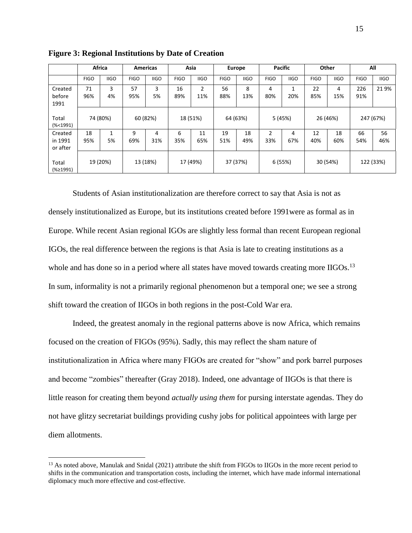|                                |             | <b>Africa</b> |             | <b>Americas</b> |             | Asia                  |             | <b>Europe</b> |             | <b>Pacific</b> |             | Other       |             | All         |
|--------------------------------|-------------|---------------|-------------|-----------------|-------------|-----------------------|-------------|---------------|-------------|----------------|-------------|-------------|-------------|-------------|
|                                | <b>FIGO</b> | <b>IIGO</b>   | <b>FIGO</b> | <b>IIGO</b>     | <b>FIGO</b> | <b>IIGO</b>           | <b>FIGO</b> | <b>IIGO</b>   | <b>FIGO</b> | <b>IIGO</b>    | <b>FIGO</b> | <b>IIGO</b> | <b>FIGO</b> | <b>IIGO</b> |
| Created<br>before<br>1991      | 71<br>96%   | 3<br>4%       | 57<br>95%   | 3<br>5%         | 16<br>89%   | $\overline{2}$<br>11% | 56<br>88%   | 8<br>13%      | 4<br>80%    | 20%            | 22<br>85%   | 4<br>15%    | 226<br>91%  | 219%        |
| Total<br>(% 1991)              | 74 (80%)    |               | 60 (82%)    |                 | 18 (51%)    |                       | 64 (63%)    |               | 5 (45%)     |                | 26 (46%)    |             | 247 (67%)   |             |
| Created<br>in 1991<br>or after | 18<br>95%   | 1<br>5%       | 9<br>69%    | 4<br>31%        | 6<br>35%    | 11<br>65%             | 19<br>51%   | 18<br>49%     | 2<br>33%    | 4<br>67%       | 12<br>40%   | 18<br>60%   | 66<br>54%   | 56<br>46%   |
| Total<br>(%≥1991)              |             | 19 (20%)      |             | 13 (18%)        |             | 17 (49%)              |             | 37 (37%)      |             | 6(55%)         |             | 30 (54%)    |             | 122 (33%)   |

**Figure 3: Regional Institutions by Date of Creation**

Students of Asian institutionalization are therefore correct to say that Asia is not as densely institutionalized as Europe, but its institutions created before 1991were as formal as in Europe. While recent Asian regional IGOs are slightly less formal than recent European regional IGOs, the real difference between the regions is that Asia is late to creating institutions as a whole and has done so in a period where all states have moved towards creating more IIGOs.<sup>13</sup> In sum, informality is not a primarily regional phenomenon but a temporal one; we see a strong shift toward the creation of IIGOs in both regions in the post-Cold War era.

Indeed, the greatest anomaly in the regional patterns above is now Africa, which remains focused on the creation of FIGOs (95%). Sadly, this may reflect the sham nature of institutionalization in Africa where many FIGOs are created for "show" and pork barrel purposes and become "zombies" thereafter (Gray 2018). Indeed, one advantage of IIGOs is that there is little reason for creating them beyond *actually using them* for pursing interstate agendas. They do not have glitzy secretariat buildings providing cushy jobs for political appointees with large per diem allotments.

<sup>&</sup>lt;sup>13</sup> As noted above, Manulak and Snidal (2021) attribute the shift from FIGOs to IIGOs in the more recent period to shifts in the communication and transportation costs, including the internet, which have made informal international diplomacy much more effective and cost-effective.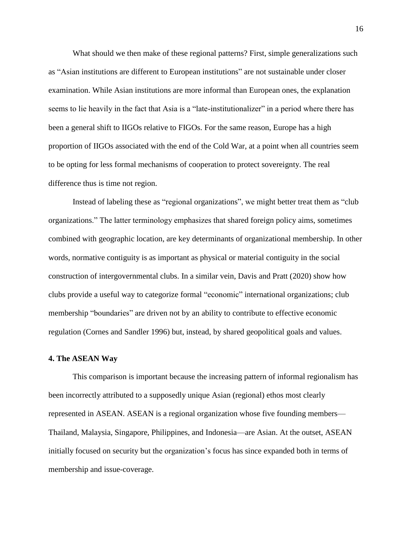What should we then make of these regional patterns? First, simple generalizations such as "Asian institutions are different to European institutions" are not sustainable under closer examination. While Asian institutions are more informal than European ones, the explanation seems to lie heavily in the fact that Asia is a "late-institutionalizer" in a period where there has been a general shift to IIGOs relative to FIGOs. For the same reason, Europe has a high proportion of IIGOs associated with the end of the Cold War, at a point when all countries seem to be opting for less formal mechanisms of cooperation to protect sovereignty. The real difference thus is time not region.

Instead of labeling these as "regional organizations", we might better treat them as "club organizations." The latter terminology emphasizes that shared foreign policy aims, sometimes combined with geographic location, are key determinants of organizational membership. In other words, normative contiguity is as important as physical or material contiguity in the social construction of intergovernmental clubs. In a similar vein, Davis and Pratt (2020) show how clubs provide a useful way to categorize formal "economic" international organizations; club membership "boundaries" are driven not by an ability to contribute to effective economic regulation (Cornes and Sandler 1996) but, instead, by shared geopolitical goals and values.

## **4. The ASEAN Way**

This comparison is important because the increasing pattern of informal regionalism has been incorrectly attributed to a supposedly unique Asian (regional) ethos most clearly represented in ASEAN. ASEAN is a regional organization whose five founding members— Thailand, Malaysia, Singapore, Philippines, and Indonesia—are Asian. At the outset, ASEAN initially focused on security but the organization's focus has since expanded both in terms of membership and issue-coverage.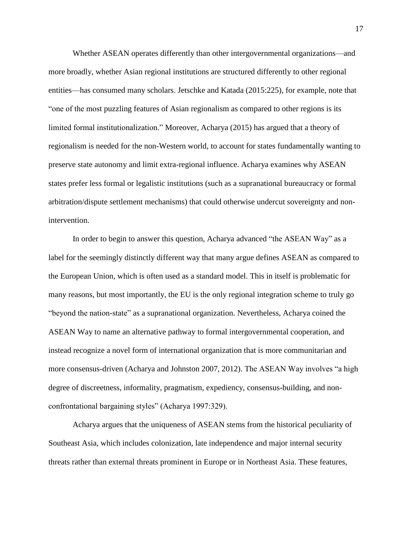Whether ASEAN operates differently than other intergovernmental organizations—and more broadly, whether Asian regional institutions are structured differently to other regional entities—has consumed many scholars. Jetschke and Katada (2015:225), for example, note that "one of the most puzzling features of Asian regionalism as compared to other regions is its limited formal institutionalization." Moreover, Acharya (2015) has argued that a theory of regionalism is needed for the non-Western world, to account for states fundamentally wanting to preserve state autonomy and limit extra-regional influence. Acharya examines why ASEAN states prefer less formal or legalistic institutions (such as a supranational bureaucracy or formal arbitration/dispute settlement mechanisms) that could otherwise undercut sovereignty and nonintervention.

In order to begin to answer this question, Acharya advanced "the ASEAN Way" as a label for the seemingly distinctly different way that many argue defines ASEAN as compared to the European Union, which is often used as a standard model. This in itself is problematic for many reasons, but most importantly, the EU is the only regional integration scheme to truly go "beyond the nation-state" as a supranational organization. Nevertheless, Acharya coined the ASEAN Way to name an alternative pathway to formal intergovernmental cooperation, and instead recognize a novel form of international organization that is more communitarian and more consensus-driven (Acharya and Johnston 2007, 2012). The ASEAN Way involves "a high degree of discreetness, informality, pragmatism, expediency, consensus-building, and nonconfrontational bargaining styles" (Acharya 1997:329).

Acharya argues that the uniqueness of ASEAN stems from the historical peculiarity of Southeast Asia, which includes colonization, late independence and major internal security threats rather than external threats prominent in Europe or in Northeast Asia. These features,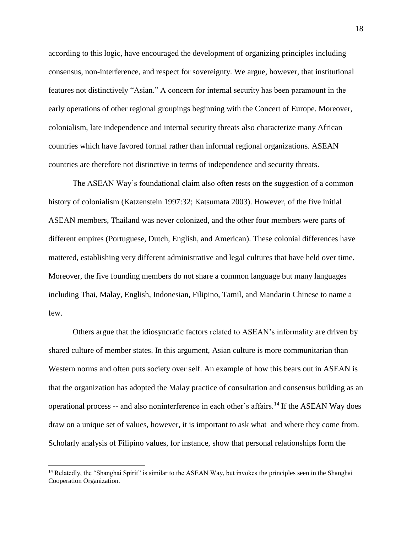according to this logic, have encouraged the development of organizing principles including consensus, non-interference, and respect for sovereignty. We argue, however, that institutional features not distinctively "Asian." A concern for internal security has been paramount in the early operations of other regional groupings beginning with the Concert of Europe. Moreover, colonialism, late independence and internal security threats also characterize many African countries which have favored formal rather than informal regional organizations. ASEAN countries are therefore not distinctive in terms of independence and security threats.

The ASEAN Way's foundational claim also often rests on the suggestion of a common history of colonialism (Katzenstein 1997:32; Katsumata 2003). However, of the five initial ASEAN members, Thailand was never colonized, and the other four members were parts of different empires (Portuguese, Dutch, English, and American). These colonial differences have mattered, establishing very different administrative and legal cultures that have held over time. Moreover, the five founding members do not share a common language but many languages including Thai, Malay, English, Indonesian, Filipino, Tamil, and Mandarin Chinese to name a few.

Others argue that the idiosyncratic factors related to ASEAN's informality are driven by shared culture of member states. In this argument, Asian culture is more communitarian than Western norms and often puts society over self. An example of how this bears out in ASEAN is that the organization has adopted the Malay practice of consultation and consensus building as an operational process -- and also noninterference in each other's affairs.<sup>14</sup> If the ASEAN Way does draw on a unique set of values, however, it is important to ask what and where they come from. Scholarly analysis of Filipino values, for instance, show that personal relationships form the

<sup>&</sup>lt;sup>14</sup> Relatedly, the "Shanghai Spirit" is similar to the ASEAN Way, but invokes the principles seen in the Shanghai Cooperation Organization.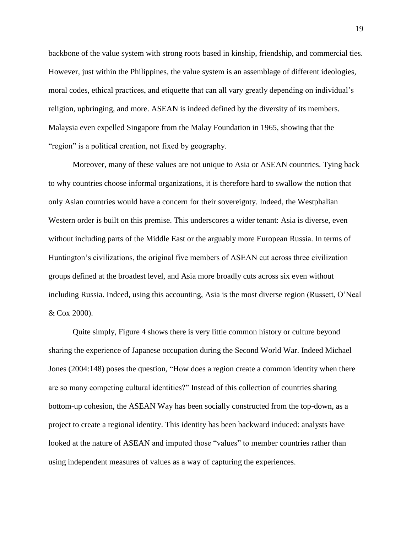backbone of the value system with strong roots based in kinship, friendship, and commercial ties. However, just within the Philippines, the value system is an assemblage of different ideologies, moral codes, ethical practices, and etiquette that can all vary greatly depending on individual's religion, upbringing, and more. ASEAN is indeed defined by the diversity of its members. Malaysia even expelled Singapore from the Malay Foundation in 1965, showing that the "region" is a political creation, not fixed by geography.

Moreover, many of these values are not unique to Asia or ASEAN countries. Tying back to why countries choose informal organizations, it is therefore hard to swallow the notion that only Asian countries would have a concern for their sovereignty. Indeed, the Westphalian Western order is built on this premise. This underscores a wider tenant: Asia is diverse, even without including parts of the Middle East or the arguably more European Russia. In terms of Huntington's civilizations, the original five members of ASEAN cut across three civilization groups defined at the broadest level, and Asia more broadly cuts across six even without including Russia. Indeed, using this accounting, Asia is the most diverse region (Russett, O'Neal & Cox 2000).

Quite simply, Figure 4 shows there is very little common history or culture beyond sharing the experience of Japanese occupation during the Second World War. Indeed Michael Jones (2004:148) poses the question, "How does a region create a common identity when there are so many competing cultural identities?" Instead of this collection of countries sharing bottom-up cohesion, the ASEAN Way has been socially constructed from the top-down, as a project to create a regional identity. This identity has been backward induced: analysts have looked at the nature of ASEAN and imputed those "values" to member countries rather than using independent measures of values as a way of capturing the experiences.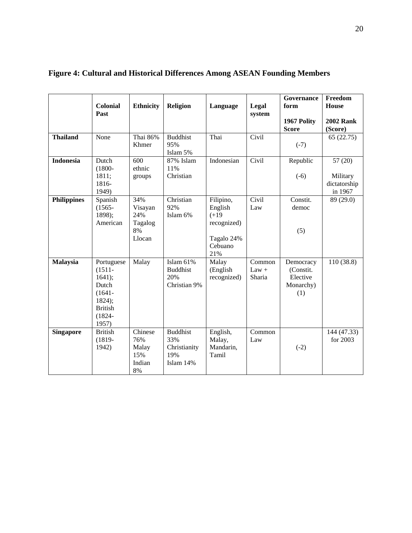|                    | <b>Colonial</b><br>Past                                                                                   | <b>Ethnicity</b>                                                   | <b>Religion</b>                                            | Language                                                                       | Legal<br>system             | <b>Governance</b><br>form<br>1967 Polity<br><b>Score</b> | Freedom<br>House<br><b>2002 Rank</b><br>(Score) |
|--------------------|-----------------------------------------------------------------------------------------------------------|--------------------------------------------------------------------|------------------------------------------------------------|--------------------------------------------------------------------------------|-----------------------------|----------------------------------------------------------|-------------------------------------------------|
| <b>Thailand</b>    | None                                                                                                      | Thai 86%<br>Khmer                                                  | <b>Buddhist</b><br>95%<br>Islam 5%                         | Thai                                                                           | Civil                       | $(-7)$                                                   | 65(22.75)                                       |
| <b>Indonesia</b>   | Dutch<br>$(1800 -$<br>1811;<br>1816-<br>1949)                                                             | 600<br>ethnic<br>groups                                            | 87% Islam<br>11%<br>Christian                              | Indonesian                                                                     | Civil                       | Republic<br>$(-6)$                                       | 57(20)<br>Military<br>dictatorship<br>in 1967   |
| <b>Philippines</b> | Spanish<br>$(1565 -$<br>1898);<br>American                                                                | 34%<br>Visayan<br>24%<br>Tagalog<br>8%<br>Llocan                   | Christian<br>92%<br>Islam 6%                               | Filipino,<br>English<br>$(+19)$<br>recognized)<br>Tagalo 24%<br>Cebuano<br>21% | Civil<br>Law                | Constit.<br>democ<br>(5)                                 | 89 (29.0)                                       |
| <b>Malaysia</b>    | Portuguese<br>$(1511 -$<br>1641);<br>Dutch<br>$(1641 -$<br>1824);<br><b>British</b><br>$(1824 -$<br>1957) | Malay                                                              | Islam 61%<br><b>Buddhist</b><br>20%<br>Christian 9%        | Malay<br>(English<br>recognized)                                               | Common<br>$Law +$<br>Sharia | Democracy<br>(Constit.<br>Elective<br>Monarchy)<br>(1)   | 110 (38.8)                                      |
| <b>Singapore</b>   | <b>British</b><br>$(1819 -$<br>1942)                                                                      | $\overline{\text{Chinese}}$<br>76%<br>Malay<br>15%<br>Indian<br>8% | <b>Buddhist</b><br>33%<br>Christianity<br>19%<br>Islam 14% | English,<br>Malay,<br>Mandarin,<br>Tamil                                       | Common<br>Law               | $(-2)$                                                   | 144 (47.33)<br>for 2003                         |

# **Figure 4: Cultural and Historical Differences Among ASEAN Founding Members**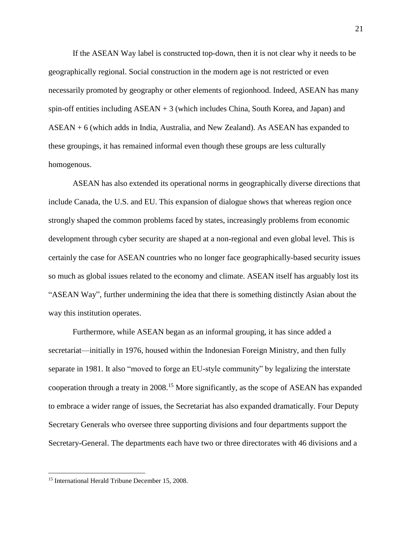If the ASEAN Way label is constructed top-down, then it is not clear why it needs to be geographically regional. Social construction in the modern age is not restricted or even necessarily promoted by geography or other elements of regionhood. Indeed, ASEAN has many spin-off entities including ASEAN + 3 (which includes China, South Korea, and Japan) and ASEAN + 6 (which adds in India, Australia, and New Zealand). As ASEAN has expanded to these groupings, it has remained informal even though these groups are less culturally homogenous.

ASEAN has also extended its operational norms in geographically diverse directions that include Canada, the U.S. and EU. This expansion of dialogue shows that whereas region once strongly shaped the common problems faced by states, increasingly problems from economic development through cyber security are shaped at a non-regional and even global level. This is certainly the case for ASEAN countries who no longer face geographically-based security issues so much as global issues related to the economy and climate. ASEAN itself has arguably lost its "ASEAN Way", further undermining the idea that there is something distinctly Asian about the way this institution operates.

Furthermore, while ASEAN began as an informal grouping, it has since added a secretariat—initially in 1976, housed within the Indonesian Foreign Ministry, and then fully separate in 1981. It also "moved to forge an EU-style community" by legalizing the interstate cooperation through a treaty in 2008.<sup>15</sup> More significantly, as the scope of ASEAN has expanded to embrace a wider range of issues, the Secretariat has also expanded dramatically. Four Deputy Secretary Generals who oversee three supporting divisions and four departments support the Secretary-General. The departments each have two or three directorates with 46 divisions and a

<sup>&</sup>lt;sup>15</sup> International Herald Tribune December 15, 2008.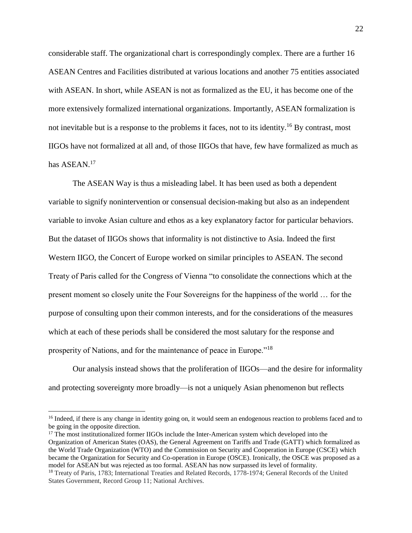considerable staff. The organizational chart is correspondingly complex. There are a further 16 ASEAN Centres and Facilities distributed at various locations and another 75 entities associated with ASEAN. In short, while ASEAN is not as formalized as the EU, it has become one of the more extensively formalized international organizations. Importantly, ASEAN formalization is not inevitable but is a response to the problems it faces, not to its identity.<sup>16</sup> By contrast, most IIGOs have not formalized at all and, of those IIGOs that have, few have formalized as much as has ASEAN.<sup>17</sup>

The ASEAN Way is thus a misleading label. It has been used as both a dependent variable to signify nonintervention or consensual decision-making but also as an independent variable to invoke Asian culture and ethos as a key explanatory factor for particular behaviors. But the dataset of IIGOs shows that informality is not distinctive to Asia. Indeed the first Western IIGO, the Concert of Europe worked on similar principles to ASEAN. The second Treaty of Paris called for the Congress of Vienna "to consolidate the connections which at the present moment so closely unite the Four Sovereigns for the happiness of the world … for the purpose of consulting upon their common interests, and for the considerations of the measures which at each of these periods shall be considered the most salutary for the response and prosperity of Nations, and for the maintenance of peace in Europe."<sup>18</sup>

Our analysis instead shows that the proliferation of IIGOs—and the desire for informality and protecting sovereignty more broadly—is not a uniquely Asian phenomenon but reflects

<sup>&</sup>lt;sup>16</sup> Indeed, if there is any change in identity going on, it would seem an endogenous reaction to problems faced and to be going in the opposite direction.

<sup>&</sup>lt;sup>17</sup> The most institutionalized former IIGOs include the Inter-American system which developed into the Organization of American States (OAS), the General Agreement on Tariffs and Trade (GATT) which formalized as the World Trade Organization (WTO) and the Commission on Security and Cooperation in Europe (CSCE) which became the Organization for Security and Co-operation in Europe (OSCE). Ironically, the OSCE was proposed as a model for ASEAN but was rejected as too formal. ASEAN has now surpassed its level of formality.

<sup>18</sup> Treaty of Paris, 1783; International Treaties and Related Records, 1778-1974; General Records of the United States Government, Record Group 11; National Archives.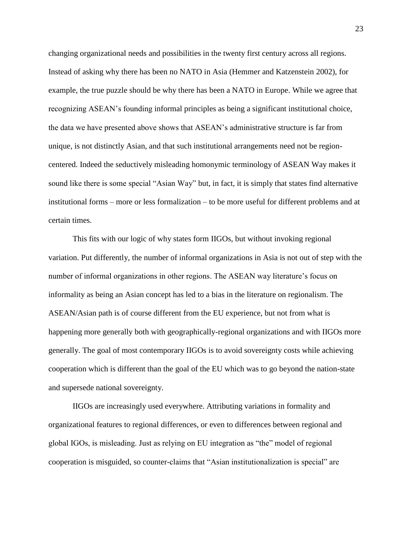changing organizational needs and possibilities in the twenty first century across all regions. Instead of asking why there has been no NATO in Asia (Hemmer and Katzenstein 2002), for example, the true puzzle should be why there has been a NATO in Europe. While we agree that recognizing ASEAN's founding informal principles as being a significant institutional choice, the data we have presented above shows that ASEAN's administrative structure is far from unique, is not distinctly Asian, and that such institutional arrangements need not be regioncentered. Indeed the seductively misleading homonymic terminology of ASEAN Way makes it sound like there is some special "Asian Way" but, in fact, it is simply that states find alternative institutional forms – more or less formalization – to be more useful for different problems and at certain times.

This fits with our logic of why states form IIGOs, but without invoking regional variation. Put differently, the number of informal organizations in Asia is not out of step with the number of informal organizations in other regions. The ASEAN way literature's focus on informality as being an Asian concept has led to a bias in the literature on regionalism. The ASEAN/Asian path is of course different from the EU experience, but not from what is happening more generally both with geographically-regional organizations and with IIGOs more generally. The goal of most contemporary IIGOs is to avoid sovereignty costs while achieving cooperation which is different than the goal of the EU which was to go beyond the nation-state and supersede national sovereignty.

IIGOs are increasingly used everywhere. Attributing variations in formality and organizational features to regional differences, or even to differences between regional and global IGOs, is misleading. Just as relying on EU integration as "the" model of regional cooperation is misguided, so counter-claims that "Asian institutionalization is special" are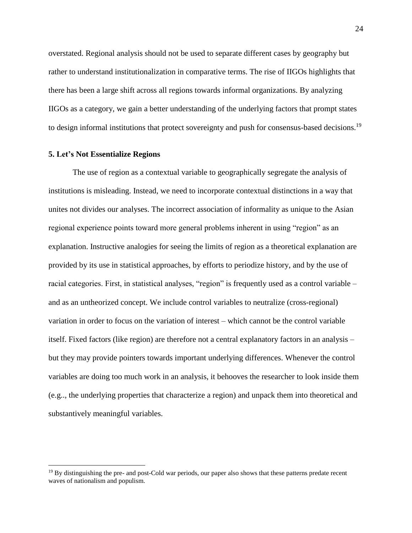overstated. Regional analysis should not be used to separate different cases by geography but rather to understand institutionalization in comparative terms. The rise of IIGOs highlights that there has been a large shift across all regions towards informal organizations. By analyzing IIGOs as a category, we gain a better understanding of the underlying factors that prompt states to design informal institutions that protect sovereignty and push for consensus-based decisions.<sup>19</sup>

#### **5. Let's Not Essentialize Regions**

 $\overline{a}$ 

The use of region as a contextual variable to geographically segregate the analysis of institutions is misleading. Instead, we need to incorporate contextual distinctions in a way that unites not divides our analyses. The incorrect association of informality as unique to the Asian regional experience points toward more general problems inherent in using "region" as an explanation. Instructive analogies for seeing the limits of region as a theoretical explanation are provided by its use in statistical approaches, by efforts to periodize history, and by the use of racial categories. First, in statistical analyses, "region" is frequently used as a control variable – and as an untheorized concept. We include control variables to neutralize (cross-regional) variation in order to focus on the variation of interest – which cannot be the control variable itself. Fixed factors (like region) are therefore not a central explanatory factors in an analysis – but they may provide pointers towards important underlying differences. Whenever the control variables are doing too much work in an analysis, it behooves the researcher to look inside them (e.g.., the underlying properties that characterize a region) and unpack them into theoretical and substantively meaningful variables.

<sup>&</sup>lt;sup>19</sup> By distinguishing the pre- and post-Cold war periods, our paper also shows that these patterns predate recent waves of nationalism and populism.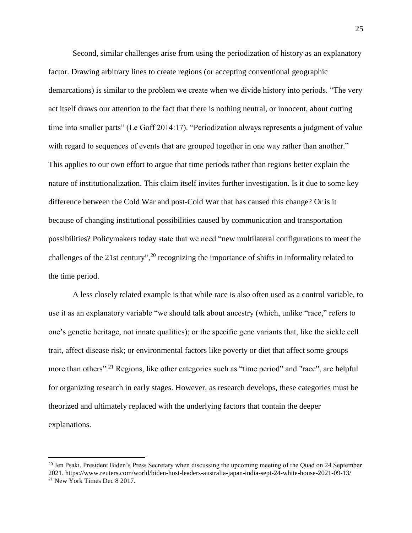Second, similar challenges arise from using the periodization of history as an explanatory factor. Drawing arbitrary lines to create regions (or accepting conventional geographic demarcations) is similar to the problem we create when we divide history into periods. "The very act itself draws our attention to the fact that there is nothing neutral, or innocent, about cutting time into smaller parts" (Le Goff 2014:17). "Periodization always represents a judgment of value with regard to sequences of events that are grouped together in one way rather than another." This applies to our own effort to argue that time periods rather than regions better explain the nature of institutionalization. This claim itself invites further investigation. Is it due to some key difference between the Cold War and post-Cold War that has caused this change? Or is it because of changing institutional possibilities caused by communication and transportation possibilities? Policymakers today state that we need "new multilateral configurations to meet the challenges of the 21st century",<sup>20</sup> recognizing the importance of shifts in informality related to the time period.

A less closely related example is that while race is also often used as a control variable, to use it as an explanatory variable "we should talk about ancestry (which, unlike "race," refers to one's genetic heritage, not innate qualities); or the specific gene variants that, like the sickle cell trait, affect disease risk; or environmental factors like poverty or diet that affect some groups more than others".<sup>21</sup> Regions, like other categories such as "time period" and "race", are helpful for organizing research in early stages. However, as research develops, these categories must be theorized and ultimately replaced with the underlying factors that contain the deeper explanations.

<sup>&</sup>lt;sup>20</sup> Jen Psaki, President Biden's Press Secretary when discussing the upcoming meeting of the Quad on 24 September 2021. https://www.reuters.com/world/biden-host-leaders-australia-japan-india-sept-24-white-house-2021-09-13/ <sup>21</sup> New York Times Dec 8 2017.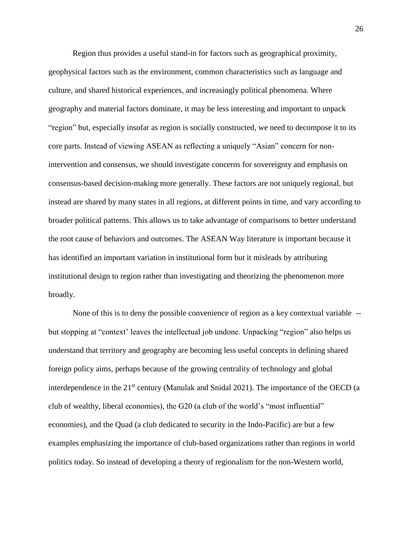Region thus provides a useful stand-in for factors such as geographical proximity, geophysical factors such as the environment, common characteristics such as language and culture, and shared historical experiences, and increasingly political phenomena. Where geography and material factors dominate, it may be less interesting and important to unpack "region" but, especially insofar as region is socially constructed, we need to decompose it to its core parts. Instead of viewing ASEAN as reflecting a uniquely "Asian" concern for nonintervention and consensus, we should investigate concerns for sovereignty and emphasis on consensus-based decision-making more generally. These factors are not uniquely regional, but instead are shared by many states in all regions, at different points in time, and vary according to broader political patterns. This allows us to take advantage of comparisons to better understand the root cause of behaviors and outcomes. The ASEAN Way literature is important because it has identified an important variation in institutional form but it misleads by attributing institutional design to region rather than investigating and theorizing the phenomenon more broadly.

None of this is to deny the possible convenience of region as a key contextual variable - but stopping at "context' leaves the intellectual job undone. Unpacking "region" also helps us understand that territory and geography are becoming less useful concepts in defining shared foreign policy aims, perhaps because of the growing centrality of technology and global interdependence in the 21<sup>st</sup> century (Manulak and Snidal 2021). The importance of the OECD (a club of wealthy, liberal economies), the G20 (a club of the world's "most influential" economies), and the Quad (a club dedicated to security in the Indo-Pacific) are but a few examples emphasizing the importance of club-based organizations rather than regions in world politics today. So instead of developing a theory of regionalism for the non-Western world,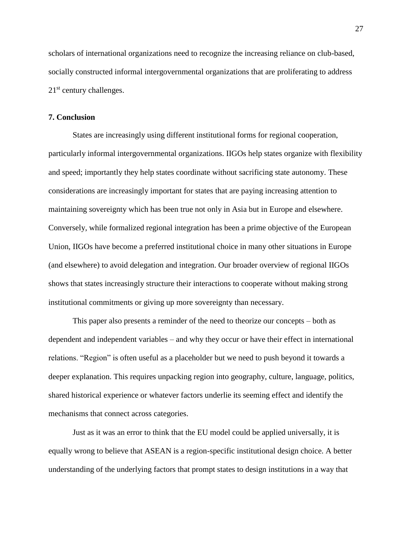scholars of international organizations need to recognize the increasing reliance on club-based, socially constructed informal intergovernmental organizations that are proliferating to address  $21<sup>st</sup>$  century challenges.

## **7. Conclusion**

States are increasingly using different institutional forms for regional cooperation, particularly informal intergovernmental organizations. IIGOs help states organize with flexibility and speed; importantly they help states coordinate without sacrificing state autonomy. These considerations are increasingly important for states that are paying increasing attention to maintaining sovereignty which has been true not only in Asia but in Europe and elsewhere. Conversely, while formalized regional integration has been a prime objective of the European Union, IIGOs have become a preferred institutional choice in many other situations in Europe (and elsewhere) to avoid delegation and integration. Our broader overview of regional IIGOs shows that states increasingly structure their interactions to cooperate without making strong institutional commitments or giving up more sovereignty than necessary.

This paper also presents a reminder of the need to theorize our concepts – both as dependent and independent variables – and why they occur or have their effect in international relations. "Region" is often useful as a placeholder but we need to push beyond it towards a deeper explanation. This requires unpacking region into geography, culture, language, politics, shared historical experience or whatever factors underlie its seeming effect and identify the mechanisms that connect across categories.

Just as it was an error to think that the EU model could be applied universally, it is equally wrong to believe that ASEAN is a region-specific institutional design choice. A better understanding of the underlying factors that prompt states to design institutions in a way that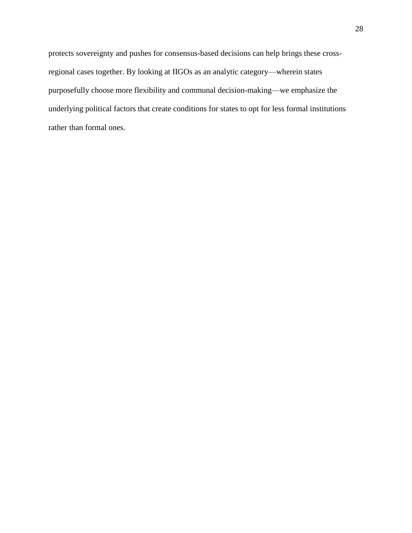protects sovereignty and pushes for consensus-based decisions can help brings these crossregional cases together. By looking at IIGOs as an analytic category—wherein states purposefully choose more flexibility and communal decision-making—we emphasize the underlying political factors that create conditions for states to opt for less formal institutions rather than formal ones.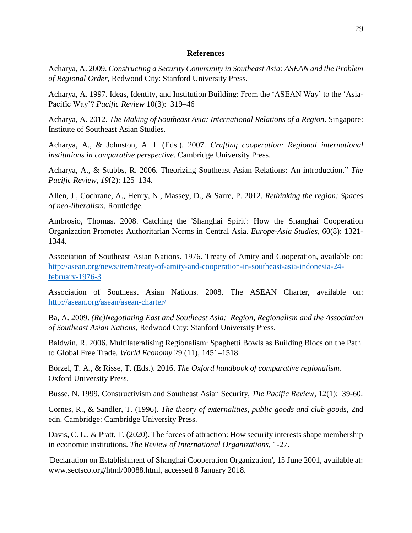#### **References**

Acharya, A. 2009. *Constructing a Security Community in Southeast Asia: ASEAN and the Problem of Regional Order*, Redwood City: Stanford University Press.

Acharya, A. 1997. Ideas, Identity, and Institution Building: From the 'ASEAN Way' to the 'Asia-Pacific Way'? *Pacific Review* 10(3): 319–46

Acharya, A. 2012. *The Making of Southeast Asia: International Relations of a Region*. Singapore: Institute of Southeast Asian Studies.

Acharya, A., & Johnston, A. I. (Eds.). 2007. *Crafting cooperation: Regional international institutions in comparative perspective.* Cambridge University Press.

Acharya, A., & Stubbs, R. 2006. Theorizing Southeast Asian Relations: An introduction." *The Pacific Review*, *19*(2): 125–134.

Allen, J., Cochrane, A., Henry, N., Massey, D., & Sarre, P. 2012. *Rethinking the region: Spaces of neo-liberalism.* Routledge.

Ambrosio, Thomas. 2008. Catching the 'Shanghai Spirit': How the Shanghai Cooperation Organization Promotes Authoritarian Norms in Central Asia. *Europe-Asia Studies,* 60(8): 1321- 1344.

Association of Southeast Asian Nations. 1976. Treaty of Amity and Cooperation, available on: [http://asean.org/news/item/treaty-of-amity-and-cooperation-in-southeast-asia-indonesia-24](http://asean.org/news/item/treaty-of-amity-and-cooperation-in-southeast-asia-indonesia-24-february-1976-3) [february-1976-3](http://asean.org/news/item/treaty-of-amity-and-cooperation-in-southeast-asia-indonesia-24-february-1976-3)

Association of Southeast Asian Nations. 2008. The ASEAN Charter, available on: <http://asean.org/asean/asean-charter/>

Ba, A. 2009. *(Re)Negotiating East and Southeast Asia: Region, Regionalism and the Association of Southeast Asian Nations*, Redwood City: Stanford University Press.

Baldwin, R. 2006. Multilateralising Regionalism: Spaghetti Bowls as Building Blocs on the Path to Global Free Trade. *World Economy* 29 (11), 1451–1518.

Börzel, T. A., & Risse, T. (Eds.). 2016. *The Oxford handbook of comparative regionalism.* Oxford University Press.

Busse, N. 1999. Constructivism and Southeast Asian Security, *The Pacific Review*, 12(1): 39-60.

Cornes, R., & Sandler, T. (1996). *The theory of externalities, public goods and club goods,* 2nd edn. Cambridge: Cambridge University Press.

Davis, C. L., & Pratt, T. (2020). The forces of attraction: How security interests shape membership in economic institutions. *The Review of International Organizations,* 1-27.

'Declaration on Establishment of Shanghai Cooperation Organization', 15 June 2001, available at: www.sectsco.org/html/00088.html, accessed 8 January 2018.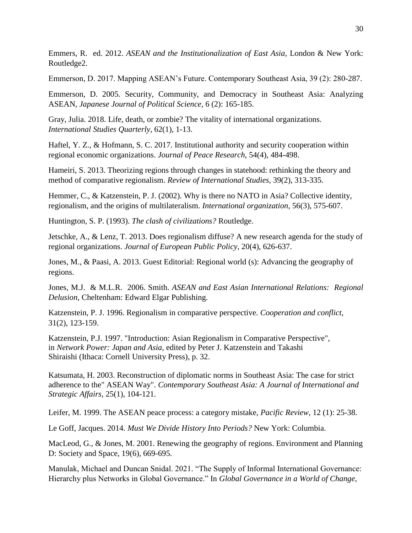Emmers, R. ed. 2012. *ASEAN and the Institutionalization of East Asia*, London & New York: Routledge2.

Emmerson, D. 2017. Mapping ASEAN's Future. Contemporary Southeast Asia, 39 (2): 280-287.

Emmerson, D. 2005. Security, Community, and Democracy in Southeast Asia: Analyzing ASEAN, *Japanese Journal of Political Science*, 6 (2): 165-185.

Gray, Julia. 2018. Life, death, or zombie? The vitality of international organizations. *International Studies Quarterly,* 62(1), 1-13.

Haftel, Y. Z., & Hofmann, S. C. 2017. Institutional authority and security cooperation within regional economic organizations. *Journal of Peace Research*, 54(4), 484-498.

Hameiri, S. 2013. Theorizing regions through changes in statehood: rethinking the theory and method of comparative regionalism. *Review of International Studies,* 39(2), 313-335.

Hemmer, C., & Katzenstein, P. J. (2002). Why is there no NATO in Asia? Collective identity, regionalism, and the origins of multilateralism. *International organization*, 56(3), 575-607.

Huntington, S. P. (1993). *The clash of civilizations?* Routledge.

Jetschke, A., & Lenz, T. 2013. Does regionalism diffuse? A new research agenda for the study of regional organizations. *Journal of European Public Policy,* 20(4), 626-637.

Jones, M., & Paasi, A. 2013. Guest Editorial: Regional world (s): Advancing the geography of regions.

Jones, M.J. & M.L.R. 2006. Smith. *ASEAN and East Asian International Relations: Regional Delusion*, Cheltenham: Edward Elgar Publishing.

Katzenstein, P. J. 1996. Regionalism in comparative perspective. *Cooperation and conflict,* 31(2), 123-159.

Katzenstein, P.J. 1997. "Introduction: Asian Regionalism in Comparative Perspective", in *Network Power: Japan and Asia*, edited by Peter J. Katzenstein and Takashi Shiraishi (Ithaca: Cornell University Press), p. 32.

Katsumata, H. 2003. Reconstruction of diplomatic norms in Southeast Asia: The case for strict adherence to the" ASEAN Way". *Contemporary Southeast Asia: A Journal of International and Strategic Affairs,* 25(1), 104-121.

Leifer, M. 1999. The ASEAN peace process: a category mistake, *Pacific Review*, 12 (1): 25-38.

Le Goff, Jacques. 2014. *Must We Divide History Into Periods?* New York: Columbia.

MacLeod, G., & Jones, M. 2001. Renewing the geography of regions. Environment and Planning D: Society and Space, 19(6), 669-695.

Manulak, Michael and Duncan Snidal. 2021. "The Supply of Informal International Governance: Hierarchy plus Networks in Global Governance." In *Global Governance in a World of Change*,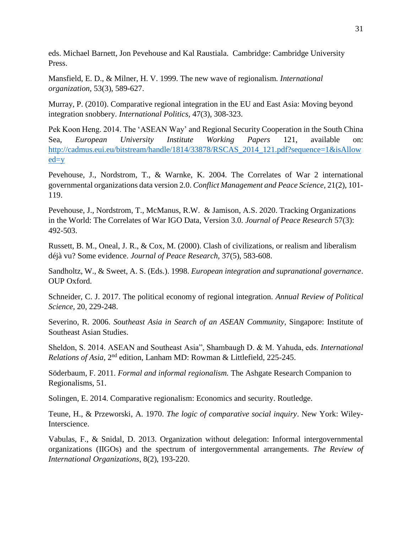eds. Michael Barnett, Jon Pevehouse and Kal Raustiala. Cambridge: Cambridge University Press.

Mansfield, E. D., & Milner, H. V. 1999. The new wave of regionalism*. International organization,* 53(3), 589-627.

Murray, P. (2010). Comparative regional integration in the EU and East Asia: Moving beyond integration snobbery. *International Politics,* 47(3), 308-323.

Pek Koon Heng. 2014. The 'ASEAN Way' and Regional Security Cooperation in the South China Sea, *European University Institute Working Papers* 121, available on: [http://cadmus.eui.eu/bitstream/handle/1814/33878/RSCAS\\_2014\\_121.pdf?sequence=1&isAllow](http://cadmus.eui.eu/bitstream/handle/1814/33878/RSCAS_2014_121.pdf?sequence=1&isAllowed=y)  $ed=v$ 

Pevehouse, J., Nordstrom, T., & Warnke, K. 2004. The Correlates of War 2 international governmental organizations data version 2.0. *Conflict Management and Peace Science,* 21(2), 101- 119.

Pevehouse, J., Nordstrom, T., McManus, R.W. & Jamison, A.S. 2020. Tracking Organizations in the World: The Correlates of War IGO Data, Version 3.0. *Journal of Peace Research* 57(3): 492-503.

Russett, B. M., Oneal, J. R., & Cox, M. (2000). Clash of civilizations, or realism and liberalism déjà vu? Some evidence. *Journal of Peace Research,* 37(5), 583-608.

Sandholtz, W., & Sweet, A. S. (Eds.). 1998. *European integration and supranational governance*. OUP Oxford.

Schneider, C. J. 2017. The political economy of regional integration. *Annual Review of Political Science,* 20, 229-248.

Severino, R. 2006. *Southeast Asia in Search of an ASEAN Community*, Singapore: Institute of Southeast Asian Studies.

Sheldon, S. 2014. ASEAN and Southeast Asia", Shambaugh D. & M. Yahuda, eds. *International Relations of Asia*, 2<sup>nd</sup> edition, Lanham MD: Rowman & Littlefield, 225-245.

Söderbaum, F. 2011. *Formal and informal regionalism.* The Ashgate Research Companion to Regionalisms, 51.

Solingen, E. 2014. Comparative regionalism: Economics and security. Routledge.

Teune, H., & Przeworski, A. 1970. *The logic of comparative social inquiry*. New York: Wiley-Interscience.

Vabulas, F., & Snidal, D. 2013. Organization without delegation: Informal intergovernmental organizations (IIGOs) and the spectrum of intergovernmental arrangements. *The Review of International Organizations*, 8(2), 193-220.